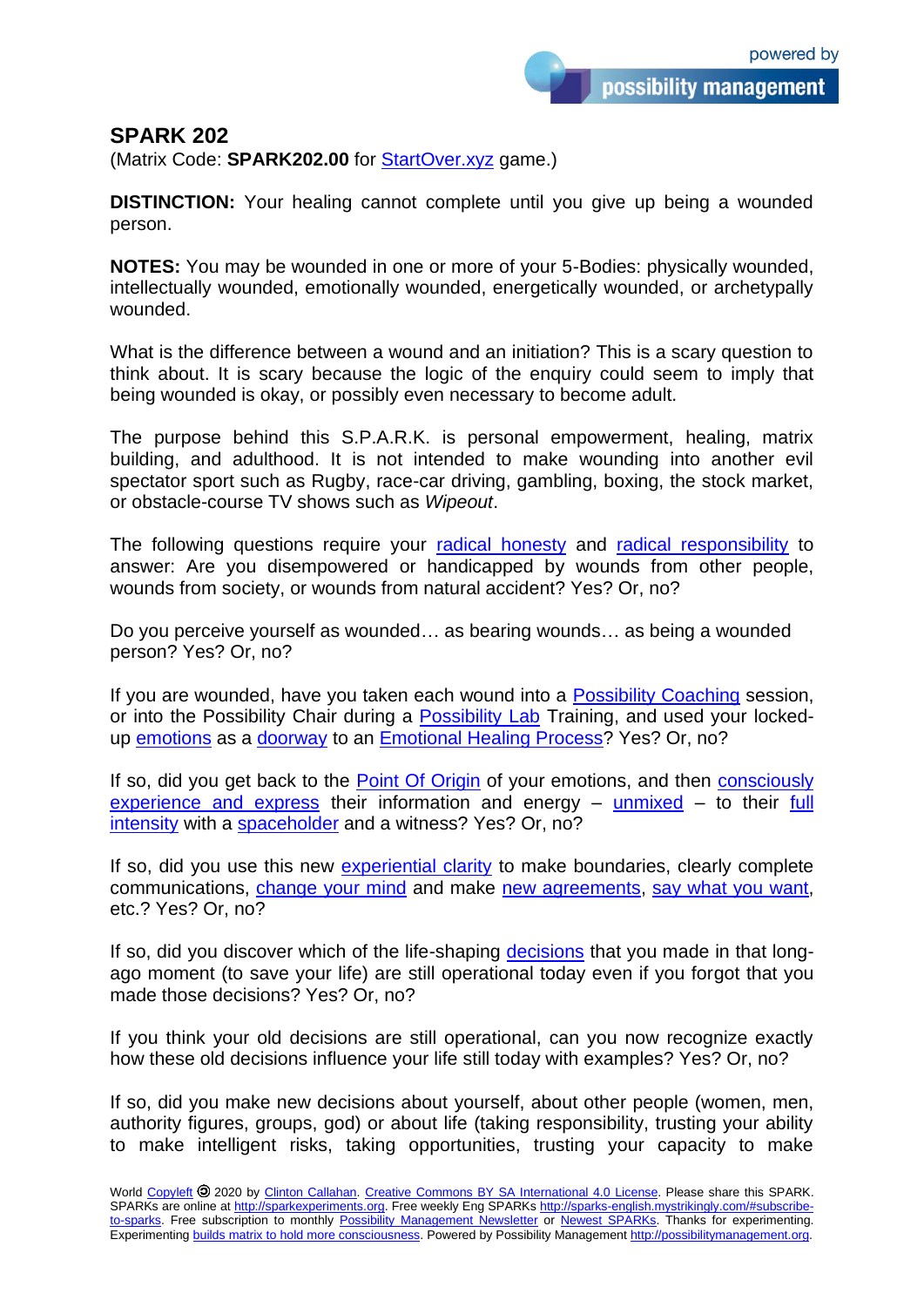## **SPARK 202**

(Matrix Code: **SPARK202.00** for [StartOver.xyz](http://startoverxyz.mystrikingly.com/) game.)

**DISTINCTION:** Your healing cannot complete until you give up being a wounded person.

**NOTES:** You may be wounded in one or more of your 5-Bodies: physically wounded, intellectually wounded, emotionally wounded, energetically wounded, or archetypally wounded.

What is the difference between a wound and an initiation? This is a scary question to think about. It is scary because the logic of the enquiry could seem to imply that being wounded is okay, or possibly even necessary to become adult.

The purpose behind this S.P.A.R.K. is personal empowerment, healing, matrix building, and adulthood. It is not intended to make wounding into another evil spectator sport such as Rugby, race-car driving, gambling, boxing, the stock market, or obstacle-course TV shows such as *Wipeout*.

The following questions require your [radical honesty](http://radicalhonesty.mystrikingly.com/) and [radical responsibility](http://radicalresponsibility.mystrikingly.com/) to answer: Are you disempowered or handicapped by wounds from other people, wounds from society, or wounds from natural accident? Yes? Or, no?

Do you perceive yourself as wounded… as bearing wounds… as being a wounded person? Yes? Or, no?

If you are wounded, have you taken each wound into a [Possibility Coaching](http://possibilitycoaches.mystrikingly/) session, or into the Possibility Chair during a [Possibility Lab](http://possibilitymanagement.org/doingit/plabs/) Training, and used your lockedup [emotions](http://4emotions.mystrikingly.com/) as a [doorway](http://doorway.mystrikingly.com/) to an [Emotional Healing Process?](http://process.mystrikingly.com/) Yes? Or, no?

If so, did you get back to the [Point Of Origin](http://pointoforigin.mystrikingly.com/) of your emotions, and then [consciously](http://consciousfeelings.mystrikingly.com/) [experience and express](http://consciousfeelings.mystrikingly.com/) their information and energy – [unmixed](http://unmixemotions.mystrikingly.com/) – to their [full](http://stellating.mystrikingly.com/) [intensity](http://stellating.mystrikingly.com/) with a [spaceholder](http://holdspace.mystrikingly.com/) and a witness? Yes? Or, no?

If so, did you use this new [experiential clarity](http://experientialreality.mystrikingly.com/) to make boundaries, clearly complete communications, [change your mind](http://changeyourmind.mystrikingly.com/) and make [new agreements,](http://negotiateintimacy.mystrikingly.com/) [say what you want,](http://realvoice.mystrikingly.com/) etc.? Yes? Or, no?

If so, did you discover which of the life-shaping [decisions](http://deciding.mystrikingly.com/) that you made in that longago moment (to save your life) are still operational today even if you forgot that you made those decisions? Yes? Or, no?

If you think your old decisions are still operational, can you now recognize exactly how these old decisions influence your life still today with examples? Yes? Or, no?

If so, did you make new decisions about yourself, about other people (women, men, authority figures, groups, god) or about life (taking responsibility, trusting your ability to make intelligent risks, taking opportunities, trusting your capacity to make